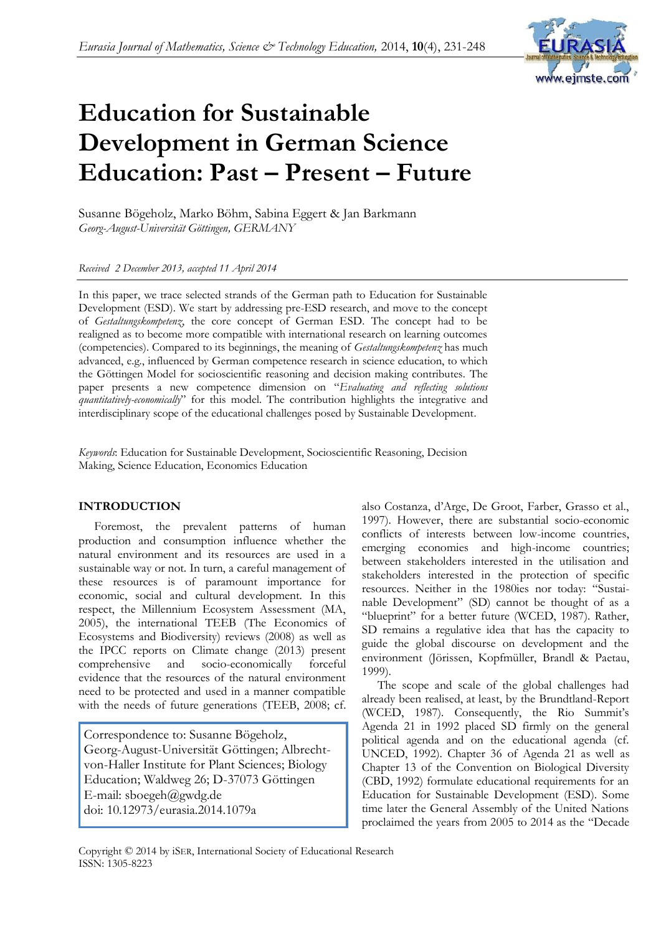## *Eurasia Journal of Mathematics, Science & Technology Education,* 2014, **10**(4), 231-248



# **Education for Sustainable Development in German Science Education: Past – Present – Future**

Susanne Bögeholz, Marko Böhm, Sabina Eggert & Jan Barkmann *Georg-August-Universität Göttingen, GERMANY*

*Received 2 December 2013, accepted 11 April 2014*

In this paper, we trace selected strands of the German path to Education for Sustainable Development (ESD). We start by addressing pre-ESD research, and move to the concept of *Gestaltungskompetenz*, the core concept of German ESD. The concept had to be realigned as to become more compatible with international research on learning outcomes (competencies). Compared to its beginnings, the meaning of *Gestaltungskompetenz* has much advanced, e.g., influenced by German competence research in science education, to which the Göttingen Model for socioscientific reasoning and decision making contributes. The paper presents a new competence dimension on "*Evaluating and reflecting solutions quantitatively-economically*" for this model. The contribution highlights the integrative and interdisciplinary scope of the educational challenges posed by Sustainable Development.

*Keywords*: Education for Sustainable Development, Socioscientific Reasoning, Decision Making, Science Education, Economics Education

#### **INTRODUCTION**

Foremost, the prevalent patterns of human production and consumption influence whether the natural environment and its resources are used in a sustainable way or not. In turn, a careful management of these resources is of paramount importance for economic, social and cultural development. In this respect, the Millennium Ecosystem Assessment (MA, 2005), the international TEEB (The Economics of Ecosystems and Biodiversity) reviews (2008) as well as the IPCC reports on Climate change (2013) present comprehensive and socio-economically forceful evidence that the resources of the natural environment need to be protected and used in a manner compatible with the needs of future generations (TEEB, 2008; cf.

Correspondence to: Susanne Bögeholz, Georg-August-Universität Göttingen; Albrechtvon-Haller Institute for Plant Sciences; Biology Education; Waldweg 26; D-37073 Göttingen E-mail: sboegeh@gwdg.de doi: 10.12973/eurasia.2014.1079a

also Costanza, d'Arge, De Groot, Farber, Grasso et al., 1997). However, there are substantial socio-economic conflicts of interests between low-income countries, emerging economies and high-income countries; between stakeholders interested in the utilisation and stakeholders interested in the protection of specific resources. Neither in the 1980ies nor today: "Sustainable Development" (SD) cannot be thought of as a "blueprint" for a better future (WCED, 1987). Rather, SD remains a regulative idea that has the capacity to guide the global discourse on development and the environment (Jörissen, Kopfmüller, Brandl & Paetau, 1999).

The scope and scale of the global challenges had already been realised, at least, by the Brundtland-Report (WCED, 1987). Consequently, the Rio Summit's Agenda 21 in 1992 placed SD firmly on the general political agenda and on the educational agenda (cf. UNCED, 1992). Chapter 36 of Agenda 21 as well as Chapter 13 of the Convention on Biological Diversity (CBD, 1992) formulate educational requirements for an Education for Sustainable Development (ESD). Some time later the General Assembly of the United Nations proclaimed the years from 2005 to 2014 as the "Decade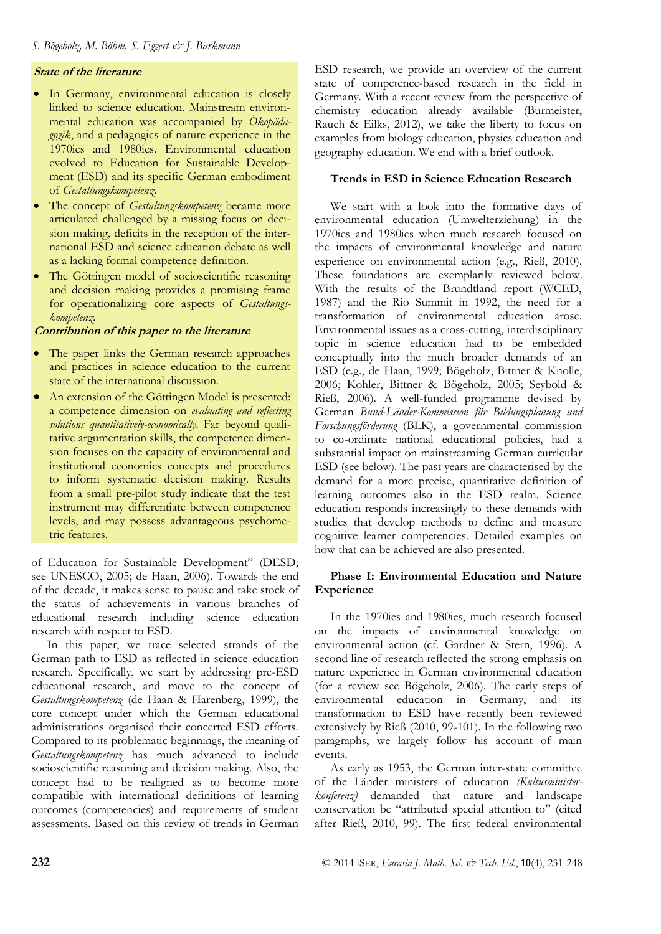## **State of the literature**

- In Germany, environmental education is closely linked to science education. Mainstream environmental education was accompanied by *Ökopädagogik*, and a pedagogics of nature experience in the 1970ies and 1980ies. Environmental education evolved to Education for Sustainable Development (ESD) and its specific German embodiment of *Gestaltungskompetenz*.
- The concept of *Gestaltungskompetenz* became more articulated challenged by a missing focus on decision making, deficits in the reception of the international ESD and science education debate as well as a lacking formal competence definition.
- The Göttingen model of socioscientific reasoning and decision making provides a promising frame for operationalizing core aspects of *Gestaltungskompetenz.*

**Contribution of this paper to the literature**

- The paper links the German research approaches and practices in science education to the current state of the international discussion.
- An extension of the Göttingen Model is presented: a competence dimension on *evaluating and reflecting solutions quantitatively-economically*. Far beyond qualitative argumentation skills, the competence dimension focuses on the capacity of environmental and institutional economics concepts and procedures to inform systematic decision making. Results from a small pre-pilot study indicate that the test instrument may differentiate between competence levels, and may possess advantageous psychometric features.

of Education for Sustainable Development" (DESD; see UNESCO, 2005; de Haan, 2006). Towards the end of the decade, it makes sense to pause and take stock of the status of achievements in various branches of educational research including science education research with respect to ESD.

In this paper, we trace selected strands of the German path to ESD as reflected in science education research. Specifically, we start by addressing pre-ESD educational research, and move to the concept of *Gestaltungskompetenz* (de Haan & Harenberg, 1999), the core concept under which the German educational administrations organised their concerted ESD efforts. Compared to its problematic beginnings, the meaning of *Gestaltungskompetenz* has much advanced to include socioscientific reasoning and decision making. Also, the concept had to be realigned as to become more compatible with international definitions of learning outcomes (competencies) and requirements of student assessments. Based on this review of trends in German

ESD research, we provide an overview of the current state of competence-based research in the field in Germany. With a recent review from the perspective of chemistry education already available (Burmeister, Rauch & Eilks, 2012), we take the liberty to focus on examples from biology education, physics education and geography education. We end with a brief outlook.

## **Trends in ESD in Science Education Research**

We start with a look into the formative days of environmental education (Umwelterziehung) in the 1970ies and 1980ies when much research focused on the impacts of environmental knowledge and nature experience on environmental action (e.g., Rieß, 2010). These foundations are exemplarily reviewed below. With the results of the Brundtland report (WCED, 1987) and the Rio Summit in 1992, the need for a transformation of environmental education arose. Environmental issues as a cross-cutting, interdisciplinary topic in science education had to be embedded conceptually into the much broader demands of an ESD (e.g., de Haan, 1999; Bögeholz, Bittner & Knolle, 2006; Kohler, Bittner & Bögeholz, 2005; Seybold & Rieß, 2006). A well-funded programme devised by German *Bund-Länder-Kommission für Bildungsplanung und Forschungsförderung* (BLK), a governmental commission to co-ordinate national educational policies, had a substantial impact on mainstreaming German curricular ESD (see below). The past years are characterised by the demand for a more precise, quantitative definition of learning outcomes also in the ESD realm. Science education responds increasingly to these demands with studies that develop methods to define and measure cognitive learner competencies. Detailed examples on how that can be achieved are also presented.

## **Phase I: Environmental Education and Nature Experience**

In the 1970ies and 1980ies, much research focused on the impacts of environmental knowledge on environmental action (cf. Gardner & Stern, 1996). A second line of research reflected the strong emphasis on nature experience in German environmental education (for a review see Bögeholz, 2006). The early steps of environmental education in Germany, and its transformation to ESD have recently been reviewed extensively by Rieß (2010, 99-101). In the following two paragraphs, we largely follow his account of main events.

As early as 1953, the German inter-state committee of the Länder ministers of education *(Kultusministerkonferenz)* demanded that nature and landscape conservation be "attributed special attention to" (cited after Rieß, 2010, 99). The first federal environmental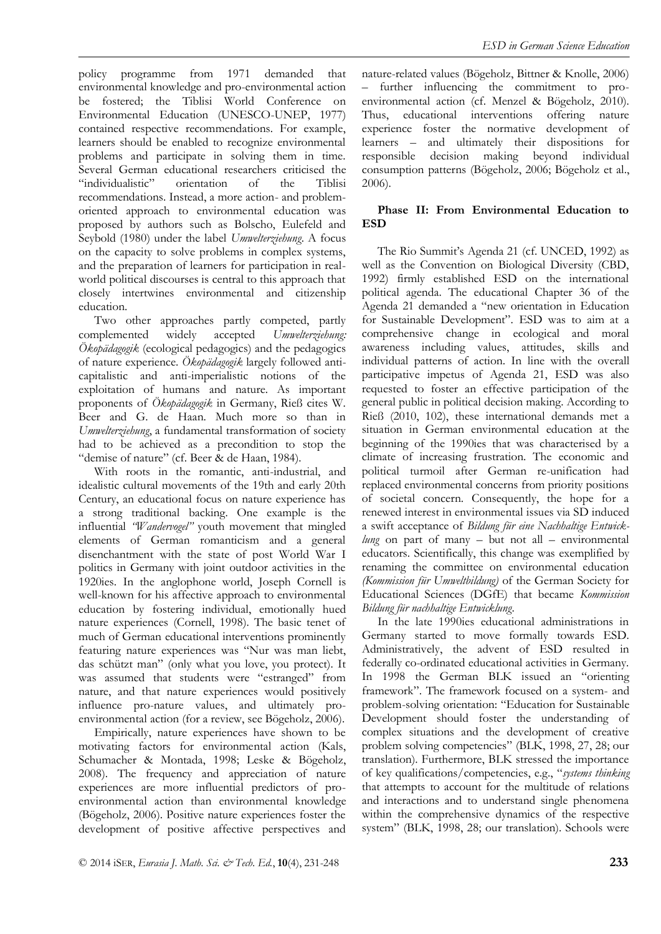policy programme from 1971 demanded that environmental knowledge and pro-environmental action be fostered; the Tiblisi World Conference on Environmental Education (UNESCO-UNEP, 1977) contained respective recommendations. For example, learners should be enabled to recognize environmental problems and participate in solving them in time. Several German educational researchers criticised the "individualistic" orientation of the Tiblisi recommendations. Instead, a more action- and problemoriented approach to environmental education was proposed by authors such as Bolscho, Eulefeld and Seybold (1980) under the label *Umwelterziehung*. A focus on the capacity to solve problems in complex systems, and the preparation of learners for participation in realworld political discourses is central to this approach that closely intertwines environmental and citizenship

education. Two other approaches partly competed, partly complemented widely accepted *Umwelterziehung: Ökopädagogik* (ecological pedagogics) and the pedagogics of nature experience. *Ökopädagogik* largely followed anticapitalistic and anti-imperialistic notions of the exploitation of humans and nature. As important proponents of *Ökopädagogik* in Germany, Rieß cites W. Beer and G. de Haan. Much more so than in *Umwelterziehung*, a fundamental transformation of society had to be achieved as a precondition to stop the "demise of nature" (cf. Beer & de Haan, 1984).

With roots in the romantic, anti-industrial, and idealistic cultural movements of the 19th and early 20th Century, an educational focus on nature experience has a strong traditional backing. One example is the influential *"Wandervogel"* youth movement that mingled elements of German romanticism and a general disenchantment with the state of post World War I politics in Germany with joint outdoor activities in the 1920ies. In the anglophone world, Joseph Cornell is well-known for his affective approach to environmental education by fostering individual, emotionally hued nature experiences (Cornell, 1998). The basic tenet of much of German educational interventions prominently featuring nature experiences was "Nur was man liebt, das schützt man" (only what you love, you protect). It was assumed that students were "estranged" from nature, and that nature experiences would positively influence pro-nature values, and ultimately proenvironmental action (for a review, see Bögeholz, 2006).

Empirically, nature experiences have shown to be motivating factors for environmental action (Kals, Schumacher & Montada, 1998; Leske & Bögeholz, 2008). The frequency and appreciation of nature experiences are more influential predictors of proenvironmental action than environmental knowledge (Bögeholz, 2006). Positive nature experiences foster the development of positive affective perspectives and

nature-related values (Bögeholz, Bittner & Knolle, 2006) further influencing the commitment to proenvironmental action (cf. Menzel & Bögeholz, 2010). Thus, educational interventions offering nature experience foster the normative development of learners – and ultimately their dispositions for responsible decision making beyond individual consumption patterns (Bögeholz, 2006; Bögeholz et al., 2006).

### **Phase II: From Environmental Education to ESD**

The Rio Summit's Agenda 21 (cf. UNCED, 1992) as well as the Convention on Biological Diversity (CBD, 1992) firmly established ESD on the international political agenda. The educational Chapter 36 of the Agenda 21 demanded a "new orientation in Education for Sustainable Development". ESD was to aim at a comprehensive change in ecological and moral awareness including values, attitudes, skills and individual patterns of action. In line with the overall participative impetus of Agenda 21, ESD was also requested to foster an effective participation of the general public in political decision making. According to Rieß (2010, 102), these international demands met a situation in German environmental education at the beginning of the 1990ies that was characterised by a climate of increasing frustration. The economic and political turmoil after German re-unification had replaced environmental concerns from priority positions of societal concern. Consequently, the hope for a renewed interest in environmental issues via SD induced a swift acceptance of *Bildung für eine Nachhaltige Entwicklung* on part of many – but not all – environmental educators. Scientifically, this change was exemplified by renaming the committee on environmental education *(Kommission für Umweltbildung)* of the German Society for Educational Sciences (DGfE) that became *Kommission Bildung für nachhaltige Entwicklung*.

In the late 1990ies educational administrations in Germany started to move formally towards ESD. Administratively, the advent of ESD resulted in federally co-ordinated educational activities in Germany. In 1998 the German BLK issued an "orienting framework". The framework focused on a system- and problem-solving orientation: "Education for Sustainable Development should foster the understanding of complex situations and the development of creative problem solving competencies" (BLK, 1998, 27, 28; our translation). Furthermore, BLK stressed the importance of key qualifications/competencies, e.g., "*systems thinking* that attempts to account for the multitude of relations and interactions and to understand single phenomena within the comprehensive dynamics of the respective system" (BLK, 1998, 28; our translation). Schools were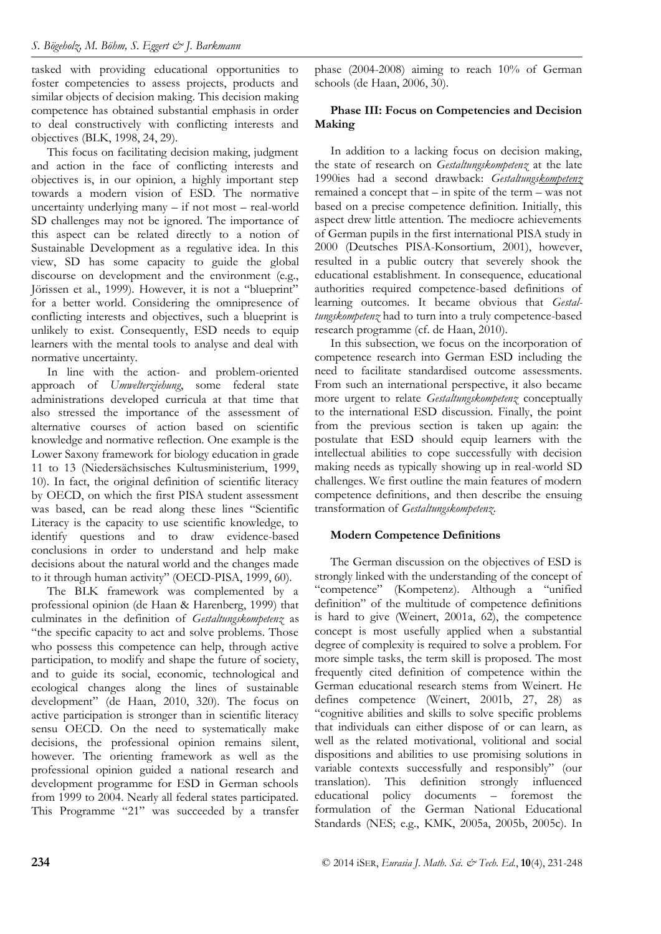tasked with providing educational opportunities to foster competencies to assess projects, products and similar objects of decision making. This decision making competence has obtained substantial emphasis in order to deal constructively with conflicting interests and objectives (BLK, 1998, 24, 29).

This focus on facilitating decision making, judgment and action in the face of conflicting interests and objectives is, in our opinion, a highly important step towards a modern vision of ESD. The normative uncertainty underlying many – if not most – real-world SD challenges may not be ignored. The importance of this aspect can be related directly to a notion of Sustainable Development as a regulative idea. In this view, SD has some capacity to guide the global discourse on development and the environment (e.g., Jörissen et al., 1999). However, it is not a "blueprint" for a better world. Considering the omnipresence of conflicting interests and objectives, such a blueprint is unlikely to exist. Consequently, ESD needs to equip learners with the mental tools to analyse and deal with normative uncertainty.

In line with the action- and problem-oriented approach of *Umwelterziehung*, some federal state administrations developed curricula at that time that also stressed the importance of the assessment of alternative courses of action based on scientific knowledge and normative reflection. One example is the Lower Saxony framework for biology education in grade 11 to 13 (Niedersächsisches Kultusministerium, 1999, 10). In fact, the original definition of scientific literacy by OECD, on which the first PISA student assessment was based, can be read along these lines "Scientific Literacy is the capacity to use scientific knowledge, to identify questions and to draw evidence-based conclusions in order to understand and help make decisions about the natural world and the changes made to it through human activity" (OECD-PISA, 1999, 60).

The BLK framework was complemented by a professional opinion (de Haan & Harenberg, 1999) that culminates in the definition of *Gestaltungskompetenz* as "the specific capacity to act and solve problems. Those who possess this competence can help, through active participation, to modify and shape the future of society, and to guide its social, economic, technological and ecological changes along the lines of sustainable development" (de Haan, 2010, 320). The focus on active participation is stronger than in scientific literacy sensu OECD. On the need to systematically make decisions, the professional opinion remains silent, however. The orienting framework as well as the professional opinion guided a national research and development programme for ESD in German schools from 1999 to 2004. Nearly all federal states participated. This Programme "21" was succeeded by a transfer

phase (2004-2008) aiming to reach 10% of German schools (de Haan, 2006, 30).

## **Phase III: Focus on Competencies and Decision Making**

In addition to a lacking focus on decision making, the state of research on *Gestaltungskompetenz* at the late 1990ies had a second drawback: *Gestaltungskompetenz* remained a concept that – in spite of the term – was not based on a precise competence definition. Initially, this aspect drew little attention. The mediocre achievements of German pupils in the first international PISA study in 2000 (Deutsches PISA-Konsortium, 2001), however, resulted in a public outcry that severely shook the educational establishment. In consequence, educational authorities required competence-based definitions of learning outcomes. It became obvious that *Gestaltungskompetenz* had to turn into a truly competence-based research programme (cf. de Haan, 2010).

In this subsection, we focus on the incorporation of competence research into German ESD including the need to facilitate standardised outcome assessments. From such an international perspective, it also became more urgent to relate *Gestaltungskompetenz* conceptually to the international ESD discussion. Finally, the point from the previous section is taken up again: the postulate that ESD should equip learners with the intellectual abilities to cope successfully with decision making needs as typically showing up in real-world SD challenges. We first outline the main features of modern competence definitions, and then describe the ensuing transformation of *Gestaltungskompetenz*.

## **Modern Competence Definitions**

The German discussion on the objectives of ESD is strongly linked with the understanding of the concept of "competence" (Kompetenz). Although a "unified definition" of the multitude of competence definitions is hard to give (Weinert, 2001a, 62), the competence concept is most usefully applied when a substantial degree of complexity is required to solve a problem. For more simple tasks, the term skill is proposed. The most frequently cited definition of competence within the German educational research stems from Weinert. He defines competence (Weinert, 2001b, 27, 28) as "cognitive abilities and skills to solve specific problems that individuals can either dispose of or can learn, as well as the related motivational, volitional and social dispositions and abilities to use promising solutions in variable contexts successfully and responsibly" (our translation). This definition strongly influenced educational policy documents – foremost the formulation of the German National Educational Standards (NES; e.g., KMK, 2005a, 2005b, 2005c). In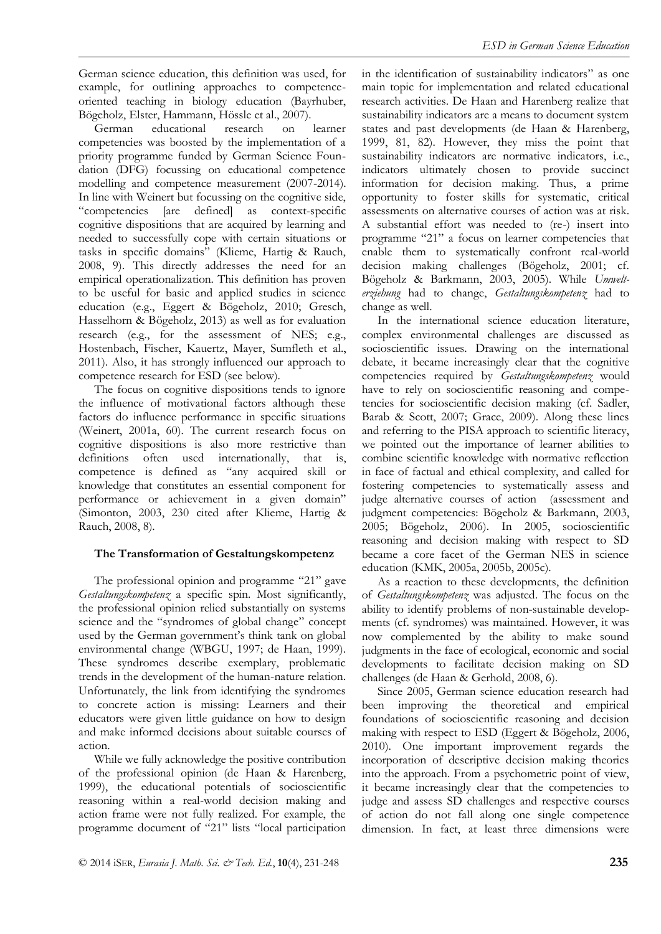German science education, this definition was used, for example, for outlining approaches to competenceoriented teaching in biology education (Bayrhuber, Bögeholz, Elster, Hammann, Hössle et al., 2007).

German educational research on learner competencies was boosted by the implementation of a priority programme funded by German Science Foundation (DFG) focussing on educational competence modelling and competence measurement (2007-2014). In line with Weinert but focussing on the cognitive side, "competencies [are defined] as context-specific cognitive dispositions that are acquired by learning and needed to successfully cope with certain situations or tasks in specific domains" (Klieme, Hartig & Rauch, 2008, 9). This directly addresses the need for an empirical operationalization. This definition has proven to be useful for basic and applied studies in science education (e.g., Eggert & Bögeholz, 2010; Gresch, Hasselhorn & Bögeholz, 2013) as well as for evaluation research (e.g., for the assessment of NES; e.g., Hostenbach, Fischer, Kauertz, Mayer, Sumfleth et al., 2011). Also, it has strongly influenced our approach to competence research for ESD (see below).

The focus on cognitive dispositions tends to ignore the influence of motivational factors although these factors do influence performance in specific situations (Weinert, 2001a, 60). The current research focus on cognitive dispositions is also more restrictive than definitions often used internationally, that is, competence is defined as "any acquired skill or knowledge that constitutes an essential component for performance or achievement in a given domain" (Simonton, 2003, 230 cited after Klieme, Hartig & Rauch, 2008, 8).

# **The Transformation of Gestaltungskompetenz**

The professional opinion and programme "21" gave *Gestaltungskompetenz* a specific spin. Most significantly, the professional opinion relied substantially on systems science and the "syndromes of global change" concept used by the German government's think tank on global environmental change (WBGU, 1997; de Haan, 1999). These syndromes describe exemplary, problematic trends in the development of the human-nature relation. Unfortunately, the link from identifying the syndromes to concrete action is missing: Learners and their educators were given little guidance on how to design and make informed decisions about suitable courses of action.

While we fully acknowledge the positive contribution of the professional opinion (de Haan & Harenberg, 1999), the educational potentials of socioscientific reasoning within a real-world decision making and action frame were not fully realized. For example, the programme document of "21" lists "local participation

in the identification of sustainability indicators" as one main topic for implementation and related educational research activities. De Haan and Harenberg realize that sustainability indicators are a means to document system states and past developments (de Haan & Harenberg, 1999, 81, 82). However, they miss the point that sustainability indicators are normative indicators, i.e., indicators ultimately chosen to provide succinct information for decision making. Thus, a prime opportunity to foster skills for systematic, critical assessments on alternative courses of action was at risk. A substantial effort was needed to (re-) insert into programme "21" a focus on learner competencies that enable them to systematically confront real-world decision making challenges (Bögeholz, 2001; cf. Bögeholz & Barkmann, 2003, 2005). While *Umwelterziehung* had to change, *Gestaltungskompetenz* had to change as well.

In the international science education literature, complex environmental challenges are discussed as socioscientific issues. Drawing on the international debate, it became increasingly clear that the cognitive competencies required by *Gestaltungskompetenz* would have to rely on socioscientific reasoning and competencies for socioscientific decision making (cf. Sadler, Barab & Scott, 2007; Grace, 2009). Along these lines and referring to the PISA approach to scientific literacy, we pointed out the importance of learner abilities to combine scientific knowledge with normative reflection in face of factual and ethical complexity, and called for fostering competencies to systematically assess and judge alternative courses of action (assessment and judgment competencies: Bögeholz & Barkmann, 2003, 2005; Bögeholz, 2006). In 2005, socioscientific reasoning and decision making with respect to SD became a core facet of the German NES in science education (KMK, 2005a, 2005b, 2005c).

As a reaction to these developments, the definition of *Gestaltungskompetenz* was adjusted. The focus on the ability to identify problems of non-sustainable developments (cf. syndromes) was maintained. However, it was now complemented by the ability to make sound judgments in the face of ecological, economic and social developments to facilitate decision making on SD challenges (de Haan & Gerhold, 2008, 6).

Since 2005, German science education research had been improving the theoretical and empirical foundations of socioscientific reasoning and decision making with respect to ESD (Eggert & Bögeholz, 2006, 2010). One important improvement regards the incorporation of descriptive decision making theories into the approach. From a psychometric point of view, it became increasingly clear that the competencies to judge and assess SD challenges and respective courses of action do not fall along one single competence dimension. In fact, at least three dimensions were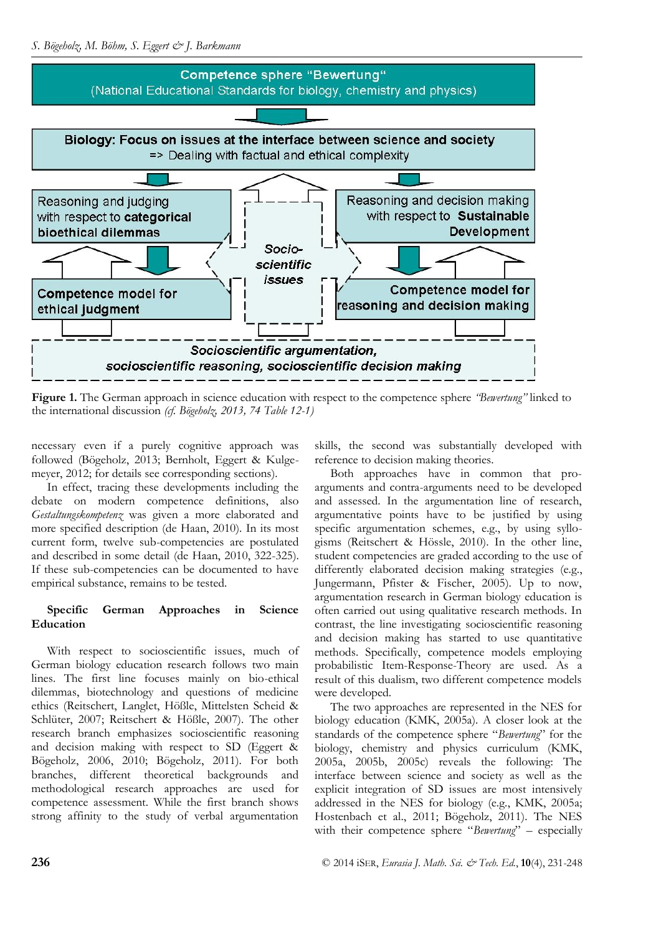

**Figure 1.** The German approach in science education with respect to the competence sphere *"Bewertung"* linked to the international discussion *(cf. Bögeholz, 2013, 74 Table 12-1)* 

necessary even if a purely cognitive approach was followed (Bögeholz, 2013; Bernholt, Eggert & Kulgemeyer, 2012; for details see corresponding sections).

In effect, tracing these developments including the debate on modern competence definitions, also *Gestaltungskompetenz* was given a more elaborated and more specified description (de Haan, 2010). In its most current form, twelve sub-competencies are postulated and described in some detail (de Haan, 2010, 322-325). If these sub-competencies can be documented to have empirical substance, remains to be tested.

## **Specific German Approaches in Science Education**

With respect to socioscientific issues, much of German biology education research follows two main lines. The first line focuses mainly on bio-ethical dilemmas, biotechnology and questions of medicine ethics (Reitschert, Langlet, Hößle, Mittelsten Scheid & Schlüter, 2007; Reitschert & Hößle, 2007). The other research branch emphasizes socioscientific reasoning and decision making with respect to SD (Eggert & Bögeholz, 2006, 2010; Bögeholz, 2011). For both branches, different theoretical backgrounds and methodological research approaches are used for competence assessment. While the first branch shows strong affinity to the study of verbal argumentation

skills, the second was substantially developed with reference to decision making theories.

Both approaches have in common that proarguments and contra-arguments need to be developed and assessed. In the argumentation line of research, argumentative points have to be justified by using specific argumentation schemes, e.g., by using syllogisms (Reitschert & Hössle, 2010). In the other line, student competencies are graded according to the use of differently elaborated decision making strategies (e.g., Jungermann, Pfister & Fischer, 2005). Up to now, argumentation research in German biology education is often carried out using qualitative research methods. In contrast, the line investigating socioscientific reasoning and decision making has started to use quantitative methods. Specifically, competence models employing probabilistic Item-Response-Theory are used. As a result of this dualism, two different competence models were developed.

The two approaches are represented in the NES for biology education (KMK, 2005a). A closer look at the standards of the competence sphere "*Bewertung*" for the biology, chemistry and physics curriculum (KMK, 2005a, 2005b, 2005c) reveals the following: The interface between science and society as well as the explicit integration of SD issues are most intensively addressed in the NES for biology (e.g., KMK, 2005a; Hostenbach et al., 2011; Bögeholz, 2011). The NES with their competence sphere "*Bewertung*" – especially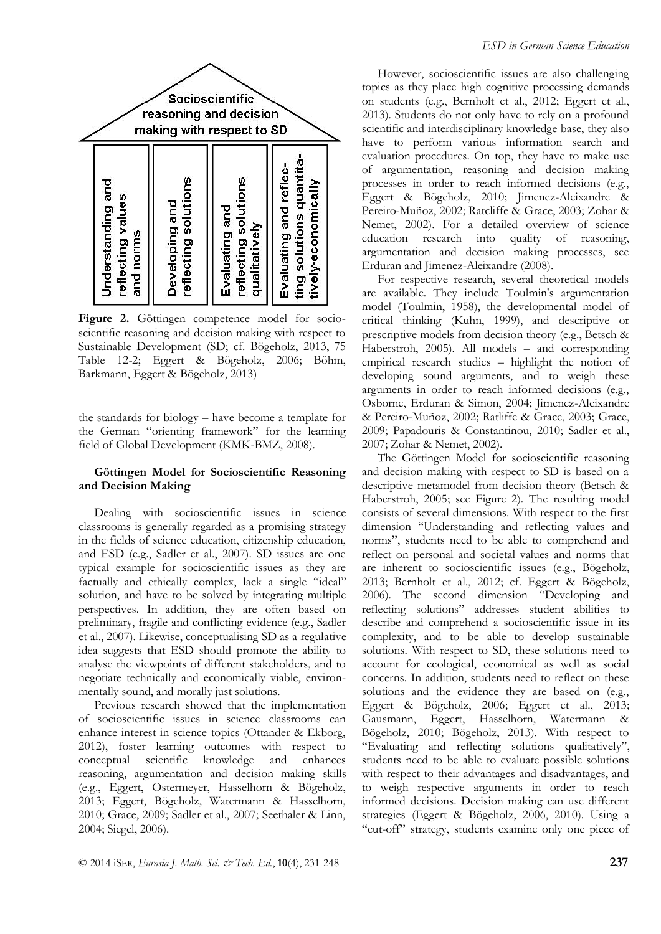

**Figure 2.** Göttingen competence model for socioscientific reasoning and decision making with respect to Sustainable Development (SD; cf. Bögeholz, 2013, 75 Table 12-2; Eggert & Bögeholz, 2006; Böhm, Barkmann, Eggert & Bögeholz, 2013)

the standards for biology – have become a template for the German "orienting framework" for the learning field of Global Development (KMK-BMZ, 2008).

#### **Göttingen Model for Socioscientific Reasoning and Decision Making**

Dealing with socioscientific issues in science classrooms is generally regarded as a promising strategy in the fields of science education, citizenship education, and ESD (e.g., Sadler et al., 2007). SD issues are one typical example for socioscientific issues as they are factually and ethically complex, lack a single "ideal" solution, and have to be solved by integrating multiple perspectives. In addition, they are often based on preliminary, fragile and conflicting evidence (e.g., Sadler et al., 2007). Likewise, conceptualising SD as a regulative idea suggests that ESD should promote the ability to analyse the viewpoints of different stakeholders, and to negotiate technically and economically viable, environmentally sound, and morally just solutions.

Previous research showed that the implementation of socioscientific issues in science classrooms can enhance interest in science topics (Ottander & Ekborg, 2012), foster learning outcomes with respect to conceptual scientific knowledge and enhances reasoning, argumentation and decision making skills (e.g., Eggert, Ostermeyer, Hasselhorn & Bögeholz, 2013; Eggert, Bögeholz, Watermann & Hasselhorn, 2010; Grace, 2009; Sadler et al., 2007; Seethaler & Linn, 2004; Siegel, 2006).

However, socioscientific issues are also challenging topics as they place high cognitive processing demands on students (e.g., Bernholt et al., 2012; Eggert et al., 2013). Students do not only have to rely on a profound scientific and interdisciplinary knowledge base, they also have to perform various information search and evaluation procedures. On top, they have to make use of argumentation, reasoning and decision making processes in order to reach informed decisions (e.g., Eggert & Bögeholz, 2010; Jimenez-Aleixandre & Pereiro-Muñoz, 2002; Ratcliffe & Grace, 2003; Zohar & Nemet, 2002). For a detailed overview of science education research into quality of reasoning, argumentation and decision making processes, see Erduran and Jimenez-Aleixandre (2008).

For respective research, several theoretical models are available. They include Toulmin's argumentation model (Toulmin, 1958), the developmental model of critical thinking (Kuhn, 1999), and descriptive or prescriptive models from decision theory (e.g., Betsch & Haberstroh, 2005). All models – and corresponding empirical research studies – highlight the notion of developing sound arguments, and to weigh these arguments in order to reach informed decisions (e.g., Osborne, Erduran & Simon, 2004; Jimenez-Aleixandre & Pereiro-Muñoz, 2002; Ratliffe & Grace, 2003; Grace, 2009; Papadouris & Constantinou, 2010; Sadler et al., 2007; Zohar & Nemet, 2002).

The Göttingen Model for socioscientific reasoning and decision making with respect to SD is based on a descriptive metamodel from decision theory (Betsch & Haberstroh, 2005; see Figure 2). The resulting model consists of several dimensions. With respect to the first dimension "Understanding and reflecting values and norms", students need to be able to comprehend and reflect on personal and societal values and norms that are inherent to socioscientific issues (e.g., Bögeholz, 2013; Bernholt et al., 2012; cf. Eggert & Bögeholz, 2006). The second dimension "Developing and reflecting solutions" addresses student abilities to describe and comprehend a socioscientific issue in its complexity, and to be able to develop sustainable solutions. With respect to SD, these solutions need to account for ecological, economical as well as social concerns. In addition, students need to reflect on these solutions and the evidence they are based on (e.g., Eggert & Bögeholz, 2006; Eggert et al., 2013; Gausmann, Eggert, Hasselhorn, Watermann & Bögeholz, 2010; Bögeholz, 2013). With respect to "Evaluating and reflecting solutions qualitatively", students need to be able to evaluate possible solutions with respect to their advantages and disadvantages, and to weigh respective arguments in order to reach informed decisions. Decision making can use different strategies (Eggert & Bögeholz, 2006, 2010). Using a "cut-off" strategy, students examine only one piece of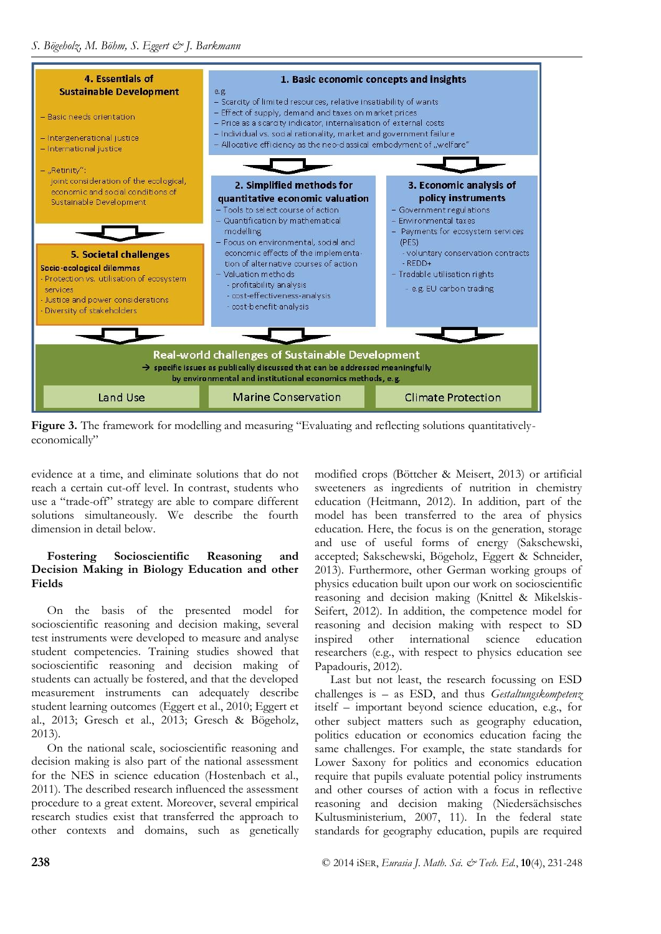

**Figure 3.** The framework for modelling and measuring "Evaluating and reflecting solutions quantitativelyeconomically"

evidence at a time, and eliminate solutions that do not reach a certain cut-off level. In contrast, students who use a "trade-off" strategy are able to compare different solutions simultaneously. We describe the fourth dimension in detail below.

## **Fostering Socioscientific Reasoning and Decision Making in Biology Education and other Fields**

On the basis of the presented model for socioscientific reasoning and decision making, several test instruments were developed to measure and analyse student competencies. Training studies showed that socioscientific reasoning and decision making of students can actually be fostered, and that the developed measurement instruments can adequately describe student learning outcomes (Eggert et al., 2010; Eggert et al., 2013; Gresch et al., 2013; Gresch & Bögeholz, 2013).

On the national scale, socioscientific reasoning and decision making is also part of the national assessment for the NES in science education (Hostenbach et al., 2011). The described research influenced the assessment procedure to a great extent. Moreover, several empirical research studies exist that transferred the approach to other contexts and domains, such as genetically modified crops (Böttcher & Meisert, 2013) or artificial sweeteners as ingredients of nutrition in chemistry education (Heitmann, 2012). In addition, part of the model has been transferred to the area of physics education. Here, the focus is on the generation, storage and use of useful forms of energy (Sakschewski, accepted; Sakschewski, Bögeholz, Eggert & Schneider, 2013). Furthermore, other German working groups of physics education built upon our work on socioscientific reasoning and decision making (Knittel & Mikelskis-Seifert, 2012). In addition, the competence model for reasoning and decision making with respect to SD inspired other international science education researchers (e.g., with respect to physics education see Papadouris, 2012).

Last but not least, the research focussing on ESD challenges is – as ESD, and thus *Gestaltungskompetenz*  itself – important beyond science education, e.g., for other subject matters such as geography education, politics education or economics education facing the same challenges. For example, the state standards for Lower Saxony for politics and economics education require that pupils evaluate potential policy instruments and other courses of action with a focus in reflective reasoning and decision making (Niedersächsisches Kultusministerium, 2007, 11). In the federal state standards for geography education, pupils are required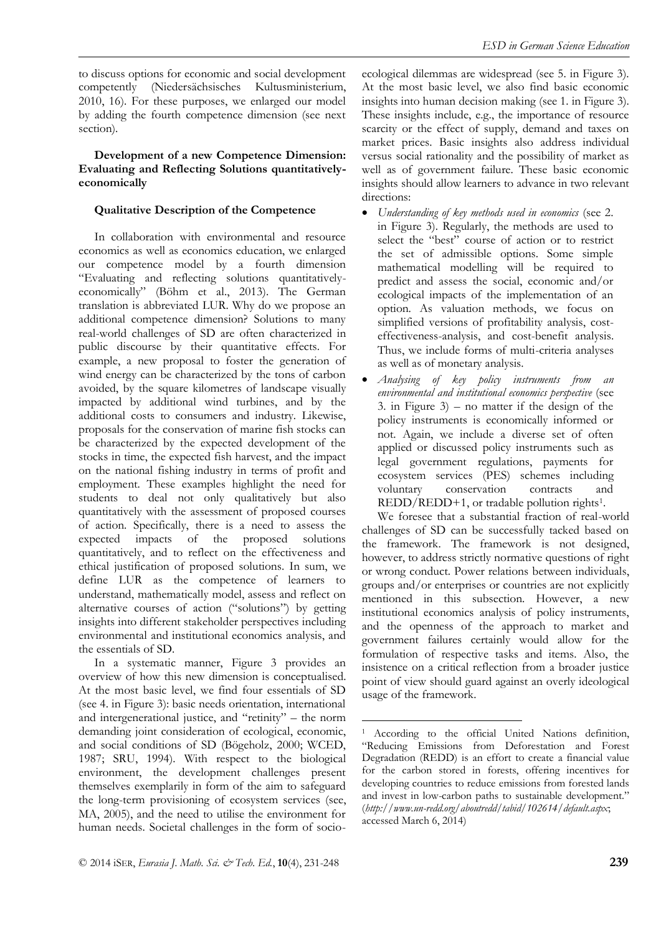to discuss options for economic and social development competently (Niedersächsisches Kultusministerium, 2010, 16). For these purposes, we enlarged our model by adding the fourth competence dimension (see next section).

#### **Development of a new Competence Dimension: Evaluating and Reflecting Solutions quantitativelyeconomically**

## **Qualitative Description of the Competence**

In collaboration with environmental and resource economics as well as economics education, we enlarged our competence model by a fourth dimension "Evaluating and reflecting solutions quantitativelyeconomically" (Böhm et al., 2013). The German translation is abbreviated LUR. Why do we propose an additional competence dimension? Solutions to many real-world challenges of SD are often characterized in public discourse by their quantitative effects. For example, a new proposal to foster the generation of wind energy can be characterized by the tons of carbon avoided, by the square kilometres of landscape visually impacted by additional wind turbines, and by the additional costs to consumers and industry. Likewise, proposals for the conservation of marine fish stocks can be characterized by the expected development of the stocks in time, the expected fish harvest, and the impact on the national fishing industry in terms of profit and employment. These examples highlight the need for students to deal not only qualitatively but also quantitatively with the assessment of proposed courses of action. Specifically, there is a need to assess the expected impacts of the proposed solutions quantitatively, and to reflect on the effectiveness and ethical justification of proposed solutions. In sum, we define LUR as the competence of learners to understand, mathematically model, assess and reflect on alternative courses of action ("solutions") by getting insights into different stakeholder perspectives including environmental and institutional economics analysis, and the essentials of SD.

In a systematic manner, Figure 3 provides an overview of how this new dimension is conceptualised. At the most basic level, we find four essentials of SD (see 4. in Figure 3): basic needs orientation, international and intergenerational justice, and "retinity" – the norm demanding joint consideration of ecological, economic, and social conditions of SD (Bögeholz, 2000; WCED, 1987; SRU, 1994). With respect to the biological environment, the development challenges present themselves exemplarily in form of the aim to safeguard the long-term provisioning of ecosystem services (see, MA, 2005), and the need to utilise the environment for human needs. Societal challenges in the form of socioecological dilemmas are widespread (see 5. in Figure 3). At the most basic level, we also find basic economic insights into human decision making (see 1. in Figure 3). These insights include, e.g., the importance of resource scarcity or the effect of supply, demand and taxes on market prices. Basic insights also address individual versus social rationality and the possibility of market as well as of government failure. These basic economic insights should allow learners to advance in two relevant directions:

- *Understanding of key methods used in economics* (see 2. in Figure 3). Regularly, the methods are used to select the "best" course of action or to restrict the set of admissible options. Some simple mathematical modelling will be required to predict and assess the social, economic and/or ecological impacts of the implementation of an option. As valuation methods, we focus on simplified versions of profitability analysis, costeffectiveness-analysis, and cost-benefit analysis. Thus, we include forms of multi-criteria analyses as well as of monetary analysis.
- *Analysing of key policy instruments from environmental and institutional economics perspective* (see 3. in Figure  $3$ ) – no matter if the design of the policy instruments is economically informed or not. Again, we include a diverse set of often applied or discussed policy instruments such as legal government regulations, payments for ecosystem services (PES) schemes including voluntary conservation contracts and REDD/REDD+1, or tradable pollution rights1.

We foresee that a substantial fraction of real-world challenges of SD can be successfully tacked based on the framework. The framework is not designed, however, to address strictly normative questions of right or wrong conduct. Power relations between individuals, groups and/or enterprises or countries are not explicitly mentioned in this subsection. However, a new institutional economics analysis of policy instruments, and the openness of the approach to market and government failures certainly would allow for the formulation of respective tasks and items. Also, the insistence on a critical reflection from a broader justice point of view should guard against an overly ideological usage of the framework.

1

<sup>1</sup> According to the official United Nations definition, "Reducing Emissions from Deforestation and Forest Degradation (REDD) is an effort to create a financial value for the carbon stored in forests, offering incentives for developing countries to reduce emissions from forested lands and invest in low-carbon paths to sustainable development." (*http://www.un-redd.org/aboutredd/tabid/102614/default.aspx*; accessed March 6, 2014)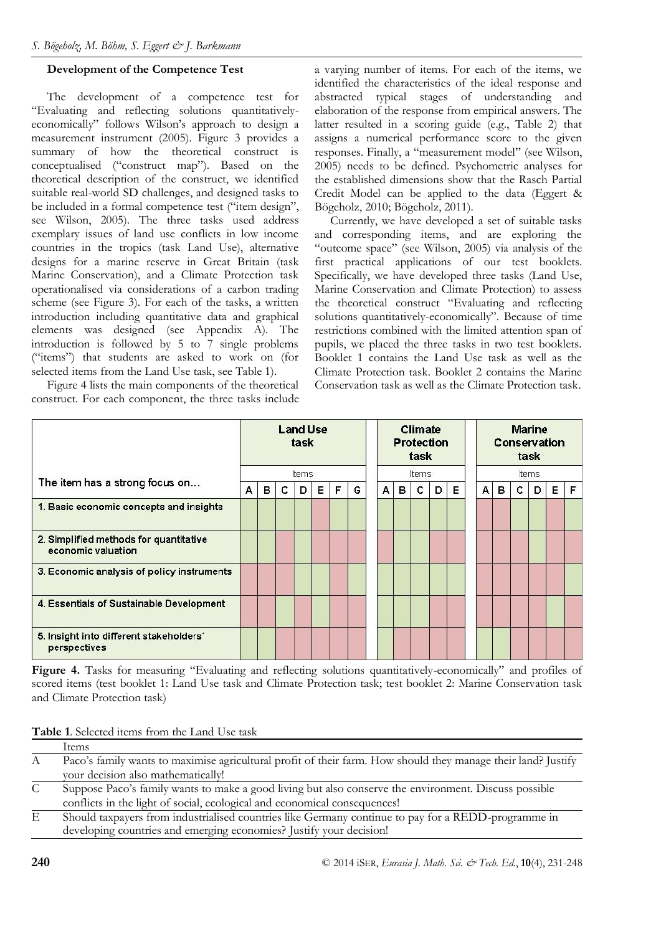## **Development of the Competence Test**

The development of a competence test for "Evaluating and reflecting solutions quantitativelyeconomically" follows Wilson's approach to design a measurement instrument (2005). Figure 3 provides a summary of how the theoretical construct is conceptualised ("construct map"). Based on the theoretical description of the construct, we identified suitable real-world SD challenges, and designed tasks to be included in a formal competence test ("item design", see Wilson, 2005). The three tasks used address exemplary issues of land use conflicts in low income countries in the tropics (task Land Use), alternative designs for a marine reserve in Great Britain (task Marine Conservation), and a Climate Protection task operationalised via considerations of a carbon trading scheme (see Figure 3). For each of the tasks, a written introduction including quantitative data and graphical elements was designed (see Appendix A). The introduction is followed by 5 to 7 single problems ("items") that students are asked to work on (for selected items from the Land Use task, see Table 1).

Figure 4 lists the main components of the theoretical construct. For each component, the three tasks include a varying number of items. For each of the items, we identified the characteristics of the ideal response and abstracted typical stages of understanding and elaboration of the response from empirical answers. The latter resulted in a scoring guide (e.g., Table 2) that assigns a numerical performance score to the given responses. Finally, a "measurement model" (see Wilson, 2005) needs to be defined. Psychometric analyses for the established dimensions show that the Rasch Partial Credit Model can be applied to the data (Eggert & Bögeholz, 2010; Bögeholz, 2011).

Currently, we have developed a set of suitable tasks and corresponding items, and are exploring the "outcome space" (see Wilson, 2005) via analysis of the first practical applications of our test booklets. Specifically, we have developed three tasks (Land Use, Marine Conservation and Climate Protection) to assess the theoretical construct "Evaluating and reflecting solutions quantitatively-economically". Because of time restrictions combined with the limited attention span of pupils, we placed the three tasks in two test booklets. Booklet 1 contains the Land Use task as well as the Climate Protection task. Booklet 2 contains the Marine Conservation task as well as the Climate Protection task.

|                                                              | <b>Land Use</b><br>task |       |   | <b>Climate</b><br><b>Protection</b><br>task |   |   | <b>Marine</b><br><b>Conservation</b><br>task |       |   |   |   |       |   |   |   |   |   |   |
|--------------------------------------------------------------|-------------------------|-------|---|---------------------------------------------|---|---|----------------------------------------------|-------|---|---|---|-------|---|---|---|---|---|---|
| The item has a strong focus on                               |                         | Items |   |                                             |   |   |                                              | Items |   |   |   | Items |   |   |   |   |   |   |
|                                                              |                         | в     | с | D                                           | Е | F | G                                            | A     | в | с | D | Е     | A | в | c | D | Е | F |
| 1. Basic economic concepts and insights                      |                         |       |   |                                             |   |   |                                              |       |   |   |   |       |   |   |   |   |   |   |
| 2. Simplified methods for quantitative<br>economic valuation |                         |       |   |                                             |   |   |                                              |       |   |   |   |       |   |   |   |   |   |   |
| 3. Economic analysis of policy instruments                   |                         |       |   |                                             |   |   |                                              |       |   |   |   |       |   |   |   |   |   |   |
| 4. Essentials of Sustainable Development                     |                         |       |   |                                             |   |   |                                              |       |   |   |   |       |   |   |   |   |   |   |
| 5. Insight into different stakeholders'<br>perspectives      |                         |       |   |                                             |   |   |                                              |       |   |   |   |       |   |   |   |   |   |   |

Figure 4. Tasks for measuring "Evaluating and reflecting solutions quantitatively-economically" and profiles of scored items (test booklet 1: Land Use task and Climate Protection task; test booklet 2: Marine Conservation task and Climate Protection task)

**Table 1**. Selected items from the Land Use task

|   | <b>A WATE AT LIGHTER HOMES TEAMED LIGHTER CARD MADE.</b>                                                      |
|---|---------------------------------------------------------------------------------------------------------------|
|   | Items                                                                                                         |
| A | Paco's family wants to maximise agricultural profit of their farm. How should they manage their land? Justify |
|   | your decision also mathematically!                                                                            |
| C | Suppose Paco's family wants to make a good living but also conserve the environment. Discuss possible         |
|   | conflicts in the light of social, ecological and economical consequences!                                     |
| E | Should taxpayers from industrialised countries like Germany continue to pay for a REDD-programme in           |
|   | developing countries and emerging economies? Justify your decision!                                           |
|   |                                                                                                               |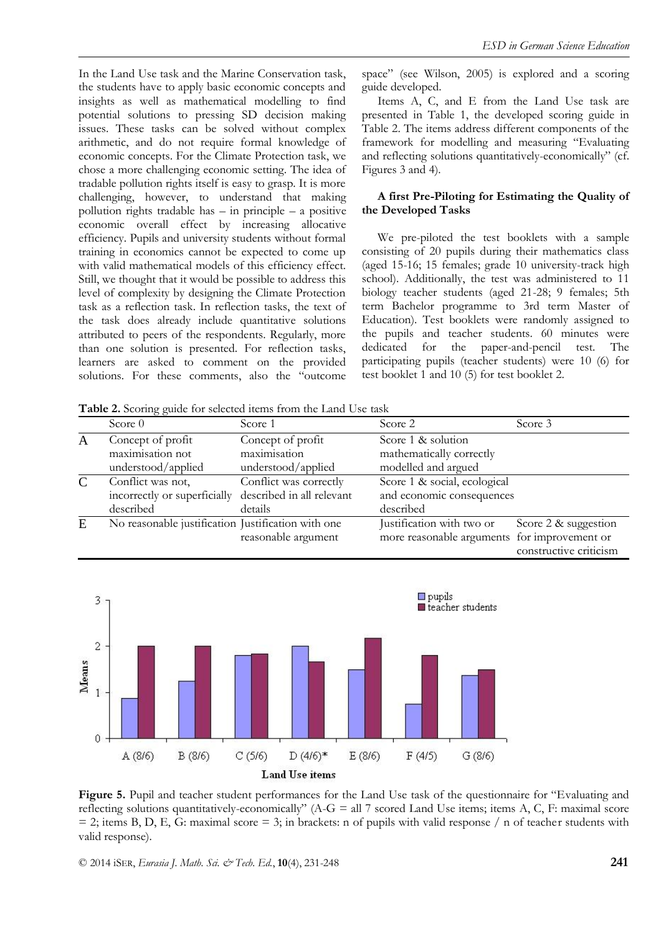In the Land Use task and the Marine Conservation task, the students have to apply basic economic concepts and insights as well as mathematical modelling to find potential solutions to pressing SD decision making issues. These tasks can be solved without complex arithmetic, and do not require formal knowledge of economic concepts. For the Climate Protection task, we chose a more challenging economic setting. The idea of tradable pollution rights itself is easy to grasp. It is more challenging, however, to understand that making pollution rights tradable has – in principle – a positive economic overall effect by increasing allocative efficiency. Pupils and university students without formal training in economics cannot be expected to come up with valid mathematical models of this efficiency effect. Still, we thought that it would be possible to address this level of complexity by designing the Climate Protection task as a reflection task. In reflection tasks, the text of the task does already include quantitative solutions attributed to peers of the respondents. Regularly, more than one solution is presented. For reflection tasks, learners are asked to comment on the provided solutions. For these comments, also the "outcome

space" (see Wilson, 2005) is explored and a scoring guide developed.

Items A, C, and E from the Land Use task are presented in Table 1, the developed scoring guide in Table 2. The items address different components of the framework for modelling and measuring "Evaluating and reflecting solutions quantitatively-economically" (cf. Figures 3 and 4).

#### **A first Pre-Piloting for Estimating the Quality of the Developed Tasks**

We pre-piloted the test booklets with a sample consisting of 20 pupils during their mathematics class (aged 15-16; 15 females; grade 10 university-track high school). Additionally, the test was administered to 11 biology teacher students (aged 21-28; 9 females; 5th term Bachelor programme to 3rd term Master of Education). Test booklets were randomly assigned to the pupils and teacher students. 60 minutes were dedicated for the paper-and-pencil test. The participating pupils (teacher students) were 10 (6) for test booklet 1 and 10 (5) for test booklet 2.

**Table 2.** Scoring guide for selected items from the Land Use task

|   | Score $0$                                              | Score 1                | Score 2                                      | Score 3                |
|---|--------------------------------------------------------|------------------------|----------------------------------------------|------------------------|
| A | Concept of profit                                      | Concept of profit      | Score 1 & solution                           |                        |
|   | maximisation not                                       | maximisation           | mathematically correctly                     |                        |
|   | understood/applied                                     | understood/applied     | modelled and argued                          |                        |
|   | Conflict was not,                                      | Conflict was correctly | Score 1 & social, ecological                 |                        |
|   | incorrectly or superficially described in all relevant |                        | and economic consequences                    |                        |
|   | described                                              | details                | described                                    |                        |
| E | No reasonable justification Justification with one     |                        | Justification with two or                    | Score 2 & suggestion   |
|   |                                                        | reasonable argument    | more reasonable arguments for improvement or |                        |
|   |                                                        |                        |                                              | constructive criticism |



**Figure 5.** Pupil and teacher student performances for the Land Use task of the questionnaire for "Evaluating and reflecting solutions quantitatively-economically" ( $A-G = \text{all } 7$  scored Land Use items; items A, C, F: maximal score  $= 2$ ; items B, D, E, G: maximal score  $= 3$ ; in brackets: n of pupils with valid response / n of teacher students with valid response).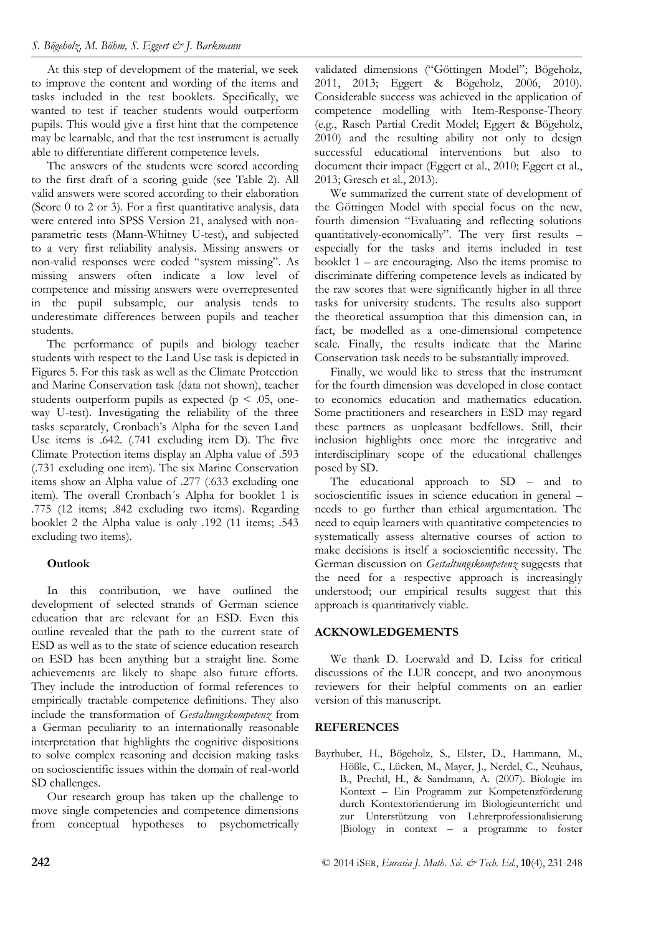At this step of development of the material, we seek to improve the content and wording of the items and tasks included in the test booklets. Specifically, we wanted to test if teacher students would outperform pupils. This would give a first hint that the competence may be learnable, and that the test instrument is actually able to differentiate different competence levels.

The answers of the students were scored according to the first draft of a scoring guide (see Table 2). All valid answers were scored according to their elaboration (Score 0 to 2 or 3). For a first quantitative analysis, data were entered into SPSS Version 21, analysed with nonparametric tests (Mann-Whitney U-test), and subjected to a very first reliability analysis. Missing answers or non-valid responses were coded "system missing". As missing answers often indicate a low level of competence and missing answers were overrepresented in the pupil subsample, our analysis tends to underestimate differences between pupils and teacher students.

The performance of pupils and biology teacher students with respect to the Land Use task is depicted in Figures 5. For this task as well as the Climate Protection and Marine Conservation task (data not shown), teacher students outperform pupils as expected ( $p < .05$ , oneway U-test). Investigating the reliability of the three tasks separately, Cronbach's Alpha for the seven Land Use items is .642. (.741 excluding item D). The five Climate Protection items display an Alpha value of .593 (.731 excluding one item). The six Marine Conservation items show an Alpha value of .277 (.633 excluding one item). The overall Cronbach´s Alpha for booklet 1 is .775 (12 items; .842 excluding two items). Regarding booklet 2 the Alpha value is only .192 (11 items; .543 excluding two items).

#### **Outlook**

In this contribution, we have outlined the development of selected strands of German science education that are relevant for an ESD. Even this outline revealed that the path to the current state of ESD as well as to the state of science education research on ESD has been anything but a straight line. Some achievements are likely to shape also future efforts. They include the introduction of formal references to empirically tractable competence definitions. They also include the transformation of *Gestaltungskompetenz* from a German peculiarity to an internationally reasonable interpretation that highlights the cognitive dispositions to solve complex reasoning and decision making tasks on socioscientific issues within the domain of real-world SD challenges.

Our research group has taken up the challenge to move single competencies and competence dimensions from conceptual hypotheses to psychometrically validated dimensions ("Göttingen Model"; Bögeholz, 2011, 2013; Eggert & Bögeholz, 2006, 2010). Considerable success was achieved in the application of competence modelling with Item-Response-Theory (e.g., Rasch Partial Credit Model; Eggert & Bögeholz, 2010) and the resulting ability not only to design successful educational interventions but also to document their impact (Eggert et al., 2010; Eggert et al., 2013; Gresch et al., 2013).

We summarized the current state of development of the Göttingen Model with special focus on the new, fourth dimension "Evaluating and reflecting solutions quantitatively-economically". The very first results – especially for the tasks and items included in test booklet 1 – are encouraging. Also the items promise to discriminate differing competence levels as indicated by the raw scores that were significantly higher in all three tasks for university students. The results also support the theoretical assumption that this dimension can, in fact, be modelled as a one-dimensional competence scale. Finally, the results indicate that the Marine Conservation task needs to be substantially improved.

Finally, we would like to stress that the instrument for the fourth dimension was developed in close contact to economics education and mathematics education. Some practitioners and researchers in ESD may regard these partners as unpleasant bedfellows. Still, their inclusion highlights once more the integrative and interdisciplinary scope of the educational challenges posed by SD.

The educational approach to SD – and to socioscientific issues in science education in general – needs to go further than ethical argumentation. The need to equip learners with quantitative competencies to systematically assess alternative courses of action to make decisions is itself a socioscientific necessity. The German discussion on *Gestaltungskompetenz* suggests that the need for a respective approach is increasingly understood; our empirical results suggest that this approach is quantitatively viable.

#### **ACKNOWLEDGEMENTS**

We thank D. Loerwald and D. Leiss for critical discussions of the LUR concept, and two anonymous reviewers for their helpful comments on an earlier version of this manuscript.

#### **REFERENCES**

Bayrhuber, H., Bögeholz, S., Elster, D., Hammann, M., Hößle, C., Lücken, M., Mayer, J., Nerdel, C., Neuhaus, B., Prechtl, H., & Sandmann, A. (2007). Biologie im Kontext – Ein Programm zur Kompetenzförderung durch Kontextorientierung im Biologieunterricht und zur Unterstützung von Lehrerprofessionalisierung [Biology in context – a programme to foster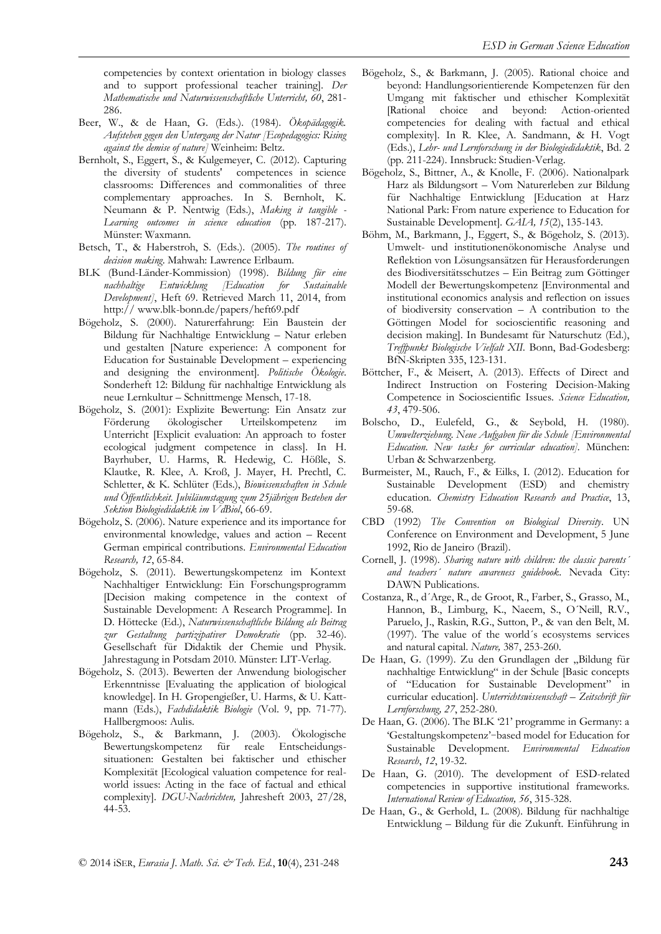competencies by context orientation in biology classes and to support professional teacher training]. *Der Mathematische und Naturwissenschaftliche Unterricht, 60*, 281- 286.

- Beer, W., & de Haan, G. (Eds.). (1984). *Ökopädagogik. Aufstehen gegen den Untergang der Natur [Ecopedagogics: Rising against the demise of nature]* Weinheim: Beltz.
- Bernholt, S., Eggert, S., & Kulgemeyer, C. (2012). Capturing the diversity of students' competences in science classrooms: Differences and commonalities of three complementary approaches. In S. Bernholt, K. Neumann & P. Nentwig (Eds.), *Making it tangible - Learning outcomes in science education* (pp. 187-217). Münster: Waxmann.
- Betsch, T., & Haberstroh, S. (Eds.). (2005). *The routines of decision making*. Mahwah: Lawrence Erlbaum.
- BLK (Bund-Länder-Kommission) (1998). *Bildung für eine nachhaltige Entwicklung [Education for Sustainable Development]*, Heft 69. Retrieved March 11, 2014, from http:// www.blk-bonn.de/papers/heft69.pdf
- Bögeholz, S. (2000). Naturerfahrung: Ein Baustein der Bildung für Nachhaltige Entwicklung – Natur erleben und gestalten [Nature experience: A component for Education for Sustainable Development – experiencing and designing the environment]. *Politische Ökologie*. Sonderheft 12: Bildung für nachhaltige Entwicklung als neue Lernkultur – Schnittmenge Mensch, 17-18.
- Bögeholz, S. (2001): Explizite Bewertung: Ein Ansatz zur Förderung ökologischer Urteilskompetenz im Unterricht [Explicit evaluation: An approach to foster ecological judgment competence in class]. In H. Bayrhuber, U. Harms, R. Hedewig, C. Hößle, S. Klautke, R. Klee, A. Kroß, J. Mayer, H. Prechtl, C. Schletter, & K. Schlüter (Eds.), *Biowissenschaften in Schule und Öffentlichkeit. Jubiläumstagung zum 25jährigen Bestehen der Sektion Biologiedidaktik im VdBiol*, 66-69.
- Bögeholz, S. (2006). Nature experience and its importance for environmental knowledge, values and action – Recent German empirical contributions. *Environmental Education Research, 12*, 65-84.
- Bögeholz, S. (2011). Bewertungskompetenz im Kontext Nachhaltiger Entwicklung: Ein Forschungsprogramm [Decision making competence in the context of Sustainable Development: A Research Programme]. In D. Höttecke (Ed.), *Naturwissenschaftliche Bildung als Beitrag zur Gestaltung partizipativer Demokratie* (pp. 32-46). Gesellschaft für Didaktik der Chemie und Physik. Jahrestagung in Potsdam 2010. Münster: LIT-Verlag.
- Bögeholz, S. (2013). Bewerten der Anwendung biologischer Erkenntnisse [Evaluating the application of biological knowledge]. In H. Gropengießer, U. Harms, & U. Kattmann (Eds.), *Fachdidaktik Biologie* (Vol. 9, pp. 71-77). Hallbergmoos: Aulis.
- Bögeholz, S., & Barkmann, J. (2003). Ökologische Bewertungskompetenz für reale Entscheidungssituationen: Gestalten bei faktischer und ethischer Komplexität [Ecological valuation competence for realworld issues: Acting in the face of factual and ethical complexity]. *DGU-Nachrichten,* Jahresheft 2003, 27/28, 44-53.
- Bögeholz, S., & Barkmann, J. (2005). Rational choice and beyond: Handlungsorientierende Kompetenzen für den Umgang mit faktischer und ethischer Komplexität [Rational choice and beyond: Action-oriented competencies for dealing with factual and ethical complexity]. In R. Klee, A. Sandmann, & H. Vogt (Eds.), *Lehr- und Lernforschung in der Biologiedidaktik*, Bd. 2 (pp. 211-224). Innsbruck: Studien-Verlag.
- Bögeholz, S., Bittner, A., & Knolle, F. (2006). Nationalpark Harz als Bildungsort – Vom Naturerleben zur Bildung für Nachhaltige Entwicklung [Education at Harz National Park: From nature experience to Education for Sustainable Development]. *GAIA, 15*(2), 135-143.
- Böhm, M., Barkmann, J., Eggert, S., & Bögeholz, S. (2013). Umwelt- und institutionenökonomische Analyse und Reflektion von Lösungsansätzen für Herausforderungen des Biodiversitätsschutzes – Ein Beitrag zum Göttinger Modell der Bewertungskompetenz [Environmental and institutional economics analysis and reflection on issues of biodiversity conservation – A contribution to the Göttingen Model for socioscientific reasoning and decision making]. In Bundesamt für Naturschutz (Ed.), *Treffpunkt Biologische Vielfalt XII.* Bonn, Bad-Godesberg: BfN-Skripten 335, 123-131.
- Böttcher, F., & Meisert, A. (2013). Effects of Direct and Indirect Instruction on Fostering Decision-Making Competence in Socioscientific Issues. *Science Education, 43*, 479-506.
- Bolscho, D., Eulefeld, G., & Seybold, H. (1980). *Umwelterziehung. Neue Aufgaben für die Schule [Environmental Education. New tasks for curricular education].* München: Urban & Schwarzenberg.
- Burmeister, M., Rauch, F., & Eilks, I. (2012). Education for Sustainable Development (ESD) and chemistry education. *Chemistry Education Research and Practice*, 13, 59-68*.*
- CBD (1992) *The Convention on Biological Diversity*. UN Conference on Environment and Development, 5 June 1992, Rio de Janeiro (Brazil).
- Cornell, J. (1998). *Sharing nature with children: the classic parents´ and teachers´ nature awareness guidebook*. Nevada City: DAWN Publications.
- Costanza, R., d´Arge, R., de Groot, R., Farber, S., Grasso, M., Hannon, B., Limburg, K., Naeem, S., O´Neill, R.V., Paruelo, J., Raskin, R.G., Sutton, P., & van den Belt, M. (1997). The value of the world´s ecosystems services and natural capital. *Nature,* 387, 253-260.
- De Haan, G. (1999). Zu den Grundlagen der "Bildung für nachhaltige Entwicklung" in der Schule [Basic concepts of "Education for Sustainable Development" in curricular education]. *Unterrichtswissenschaft – Zeitschrift für Lernforschung, 27*, 252-280.
- De Haan, G. (2006). The BLK '21' programme in Germany: a 'Gestaltungskompetenz'‐based model for Education for Sustainable Development. *Environmental Education Research*, *12*, 19-32.
- De Haan, G. (2010). The development of ESD-related competencies in supportive institutional frameworks. *International Review of Education, 56*, 315-328.
- De Haan, G., & Gerhold, L. (2008). Bildung für nachhaltige Entwicklung – Bildung für die Zukunft. Einführung in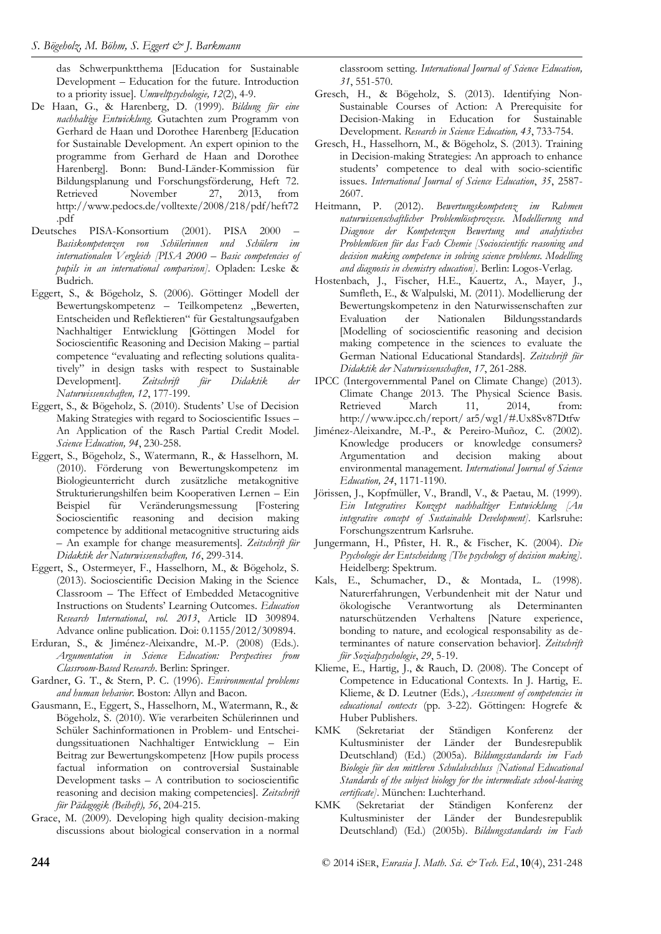das Schwerpunktthema [Education for Sustainable Development – Education for the future. Introduction to a priority issue]. *Umweltpsychologie, 12*(2), 4-9.

- De Haan, G., & Harenberg, D. (1999). *Bildung für eine nachhaltige Entwicklung.* Gutachten zum Programm von Gerhard de Haan und Dorothee Harenberg [Education for Sustainable Development. An expert opinion to the programme from Gerhard de Haan and Dorothee Harenberg]. Bonn: Bund-Länder-Kommission für Bildungsplanung und Forschungsförderung, Heft 72. Retrieved November 27, 2013, from http://www.pedocs.de/volltexte/2008/218/pdf/heft72 .pdf
- Deutsches PISA-Konsortium (2001). PISA 2000 *Basiskompetenzen von Schülerinnen und Schülern im internationalen Vergleich [PISA 2000 – Basic competencies of pupils in an international comparison]*. Opladen: Leske & Budrich.
- Eggert, S., & Bögeholz, S. (2006). Göttinger Modell der Bewertungskompetenz – Teilkompetenz "Bewerten, Entscheiden und Reflektieren" für Gestaltungsaufgaben Nachhaltiger Entwicklung [Göttingen Model for Socioscientific Reasoning and Decision Making – partial competence "evaluating and reflecting solutions qualitatively" in design tasks with respect to Sustainable Development]. *Zeitschrift für Didaktik der Naturwissenschaften, 12*, 177-199.
- Eggert, S., & Bögeholz, S. (2010). Students' Use of Decision Making Strategies with regard to Socioscientific Issues – An Application of the Rasch Partial Credit Model. *Science Education, 94*, 230-258.
- Eggert, S., Bögeholz, S., Watermann, R., & Hasselhorn, M. (2010). Förderung von Bewertungskompetenz im Biologieunterricht durch zusätzliche metakognitive Strukturierungshilfen beim Kooperativen Lernen – Ein Beispiel für Veränderungsmessung [Fostering Socioscientific reasoning and decision making competence by additional metacognitive structuring aids – An example for change measurements]. *Zeitschrift für Didaktik der Naturwissenschaften, 16*, 299-314.
- Eggert, S., Ostermeyer, F., Hasselhorn, M., & Bögeholz, S. (2013). Socioscientific Decision Making in the Science Classroom – The Effect of Embedded Metacognitive Instructions on Students' Learning Outcomes. *Education Research International*, *vol. 2013*, Article ID 309894. Advance online publication. Doi: 0.1155/2012/309894.
- Erduran, S., & Jiménez-Aleixandre, M.-P. (2008) (Eds.). *Argumentation in Science Education: Perspectives from Classroom-Based Research*. Berlin: Springer.
- Gardner, G. T., & Stern, P. C. (1996). *Environmental problems and human behavior.* Boston: Allyn and Bacon.
- Gausmann, E., Eggert, S., Hasselhorn, M., Watermann, R., & Bögeholz, S. (2010). Wie verarbeiten Schülerinnen und Schüler Sachinformationen in Problem- und Entscheidungssituationen Nachhaltiger Entwicklung – Ein Beitrag zur Bewertungskompetenz [How pupils process factual information on controversial Sustainable Development tasks – A contribution to socioscientific reasoning and decision making competencies]. *Zeitschrift für Pädagogik (Beiheft), 56*, 204-215.
- Grace, M. (2009). Developing high quality decision-making discussions about biological conservation in a normal

classroom setting*. International Journal of Science Education, 31*, 551-570.

- Gresch, H., & Bögeholz, S. (2013). Identifying Non-Sustainable Courses of Action: A Prerequisite for Decision-Making in Education for Sustainable Development. *Research in Science Education, 43*, 733-754.
- Gresch, H., Hasselhorn, M., & Bögeholz, S. (2013). Training in Decision-making Strategies: An approach to enhance students' competence to deal with socio-scientific issues. *International Journal of Science Education*, *35*, 2587- 2607.
- Heitmann, P. (2012). *Bewertungskompetenz im Rahmen naturwissenschaftlicher Problemlöseprozesse. Modellierung und Diagnose der Kompetenzen Bewertung und analytisches Problemlösen für das Fach Chemie [Socioscientific reasoning and decision making competence in solving science problems. Modelling and diagnosis in chemistry education].* Berlin: Logos-Verlag.
- Hostenbach, J., Fischer, H.E., Kauertz, A., Mayer, J., Sumfleth, E., & Walpulski, M. (2011). Modellierung der Bewertungskompetenz in den Naturwissenschaften zur Evaluation der Nationalen Bildungsstandards [Modelling of socioscientific reasoning and decision making competence in the sciences to evaluate the German National Educational Standards]. *Zeitschrift für Didaktik der Naturwissenschaften*, *17*, 261-288.
- IPCC (Intergovernmental Panel on Climate Change) (2013). Climate Change 2013. The Physical Science Basis. Retrieved March 11, 2014, from: http://www.ipcc.ch/report/ ar5/wg1/#.Ux8Sv87Dtfw
- Jiménez-Aleixandre, M.-P., & Pereiro-Muñoz, C. (2002). Knowledge producers or knowledge consumers?<br>Argumentation and decision making about Argumentation and decision making environmental management. *International Journal of Science Education, 24*, 1171-1190.
- Jörissen, J., Kopfmüller, V., Brandl, V., & Paetau, M. (1999). *Ein Integratives Konzept nachhaltiger Entwicklung [An integrative concept of Sustainable Development].* Karlsruhe: Forschungszentrum Karlsruhe.
- Jungermann, H., Pfister, H. R., & Fischer, K. (2004). *Die Psychologie der Entscheidung [The psychology of decision making].* Heidelberg: Spektrum.
- Kals, E., Schumacher, D., & Montada, L. (1998). Naturerfahrungen, Verbundenheit mit der Natur und ökologische Verantwortung als Determinanten naturschützenden Verhaltens [Nature experience, bonding to nature, and ecological responsability as determinantes of nature conservation behavior]. *Zeitschrift für Sozialpsychologie*, *29*, 5-19.
- Klieme, E., Hartig, J., & Rauch, D. (2008). The Concept of Competence in Educational Contexts. In J. Hartig, E. Klieme, & D. Leutner (Eds.), *Assessment of competencies in educational contexts* (pp. 3-22). Göttingen: Hogrefe & Huber Publishers.
- KMK (Sekretariat der Ständigen Konferenz der Kultusminister der Länder der Bundesrepublik Deutschland) (Ed.) (2005a). *Bildungsstandards im Fach Biologie für den mittleren Schulabschluss [National Educational Standards of the subject biology for the intermediate school-leaving certificate]*. München: Luchterhand.
- KMK (Sekretariat der Ständigen Konferenz der Kultusminister der Länder der Bundesrepublik Deutschland) (Ed.) (2005b). *Bildungsstandards im Fach*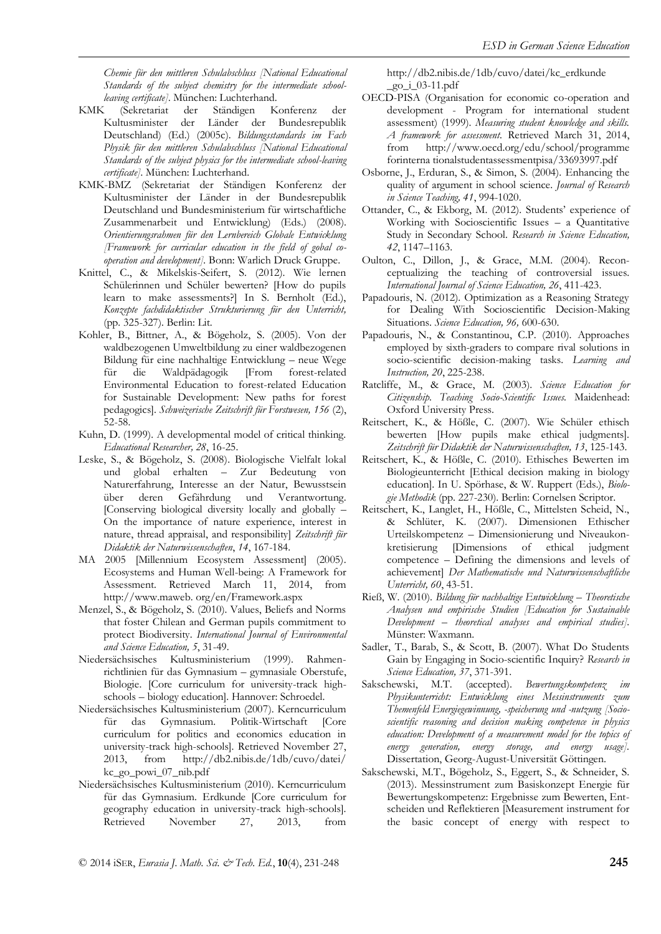*Chemie für den mittleren Schulabschluss [National Educational Standards of the subject chemistry for the intermediate schoolleaving certificate].* München: Luchterhand.

- KMK (Sekretariat der Ständigen Konferenz der Kultusminister der Länder der Bundesrepublik Deutschland) (Ed.) (2005c). *Bildungsstandards im Fach Physik für den mittleren Schulabschluss [National Educational Standards of the subject physics for the intermediate school-leaving certificate].* München: Luchterhand.
- KMK-BMZ (Sekretariat der Ständigen Konferenz der Kultusminister der Länder in der Bundesrepublik Deutschland und Bundesministerium für wirtschaftliche Zusammenarbeit und Entwicklung) (Eds.) (2008). *Orientierungsrahmen für den Lernbereich Globale Entwicklung [Framework for curricular education in the field of gobal cooperation and development].* Bonn: Warlich Druck Gruppe.
- Knittel, C., & Mikelskis-Seifert, S. (2012). Wie lernen Schülerinnen und Schüler bewerten? [How do pupils learn to make assessments?] In S. Bernholt (Ed.), *Konzepte fachdidaktischer Strukturierung für den Unterricht,* (pp. 325-327). Berlin: Lit.
- Kohler, B., Bittner, A., & Bögeholz, S. (2005). Von der waldbezogenen Umweltbildung zu einer waldbezogenen Bildung für eine nachhaltige Entwicklung – neue Wege für die Waldpädagogik [From forest-related Environmental Education to forest-related Education for Sustainable Development: New paths for forest pedagogics]. *Schweizerische Zeitschrift für Forstwesen, 156* (2), 52-58.
- Kuhn, D. (1999). A developmental model of critical thinking. *Educational Researcher, 28*, 16-25.
- Leske, S., & Bögeholz, S. (2008). Biologische Vielfalt lokal und global erhalten – Zur Bedeutung von Naturerfahrung, Interesse an der Natur, Bewusstsein über deren Gefährdung und Verantwortung. [Conserving biological diversity locally and globally – On the importance of nature experience, interest in nature, thread appraisal, and responsibility] *Zeitschrift für Didaktik der Naturwissenschaften*, *14*, 167-184.
- MA 2005 [Millennium Ecosystem Assessment] (2005). Ecosystems and Human Well-being: A Framework for Assessment. Retrieved March 11, 2014, from http://www.maweb. org/en/Framework.aspx
- Menzel, S., & Bögeholz, S. (2010). Values, Beliefs and Norms that foster Chilean and German pupils commitment to protect Biodiversity. *International Journal of Environmental and Science Education, 5*, 31-49.
- Niedersächsisches Kultusministerium (1999). Rahmenrichtlinien für das Gymnasium – gymnasiale Oberstufe, Biologie. [Core curriculum for university-track highschools – biology education]. Hannover: Schroedel.
- Niedersächsisches Kultusministerium (2007). Kerncurriculum für das Gymnasium. Politik-Wirtschaft [Core curriculum for politics and economics education in university-track high-schools]. Retrieved November 27, 2013, from http://db2.nibis.de/1db/cuvo/datei/ kc\_go\_powi\_07\_nib.pdf
- Niedersächsisches Kultusministerium (2010). Kerncurriculum für das Gymnasium. Erdkunde [Core curriculum for geography education in university-track high-schools]. Retrieved November 27, 2013, from

http://db2.nibis.de/1db/cuvo/datei/kc\_erdkunde \_go\_i\_03-11.pdf

- OECD-PISA (Organisation for economic co-operation and development - Program for international student assessment) (1999). *Measuring student knowledge and skills. A framework for assessment.* Retrieved March 31, 2014, from http://www.oecd.org/edu/school/programme forinterna tionalstudentassessmentpisa/33693997.pdf
- Osborne, J., Erduran, S., & Simon, S. (2004). Enhancing the quality of argument in school science. *Journal of Research in Science Teaching, 41*, 994-1020.
- Ottander, C., & Ekborg, M. (2012). Students' experience of Working with Socioscientific Issues – a Quantitative Study in Secondary School. *Research in Science Education, 42*, 1147–1163.
- Oulton, C., Dillon, J., & Grace, M.M. (2004). Reconceptualizing the teaching of controversial issues. *International Journal of Science Education, 26*, 411-423.
- Papadouris, N. (2012). Optimization as a Reasoning Strategy for Dealing With Socioscientific Decision-Making Situations. *Science Education, 96,* 600-630.
- Papadouris, N., & Constantinou, C.P. (2010). Approaches employed by sixth-graders to compare rival solutions in socio-scientific decision-making tasks. *Learning and Instruction, 20*, 225-238.
- Ratcliffe, M., & Grace, M. (2003). *Science Education for Citizenship. Teaching Socio-Scientific Issues.* Maidenhead: Oxford University Press.
- Reitschert, K., & Hößle, C. (2007). Wie Schüler ethisch bewerten [How pupils make ethical judgments]. *Zeitschrift für Didaktik der Naturwissenschaften, 13*, 125-143.
- Reitschert, K., & Hößle, C. (2010). Ethisches Bewerten im Biologieunterricht [Ethical decision making in biology education]. In U. Spörhase, & W. Ruppert (Eds.), *Biologie Methodik* (pp. 227-230). Berlin: Cornelsen Scriptor.
- Reitschert, K., Langlet, H., Hößle, C., Mittelsten Scheid, N., & Schlüter, K. (2007). Dimensionen Ethischer Urteilskompetenz – Dimensionierung und Niveaukonkretisierung [Dimensions of ethical judgment competence – Defining the dimensions and levels of achievement] *Der Mathematische und Naturwissenschaftliche Unterricht, 60*, 43-51.
- Rieß, W. (2010). *Bildung für nachhaltige Entwicklung – Theoretische Analysen und empirische Studien [Education for Sustainable Development – theoretical analyses and empirical studies].* Münster: Waxmann.
- Sadler, T., Barab, S., & Scott, B. (2007). What Do Students Gain by Engaging in Socio-scientific Inquiry? *Research in Science Education, 37*, 371-391.
- Sakschewski, M.T. (accepted). *Bewertungskompetenz im Physikunterricht: Entwicklung eines Messinstruments zum Themenfeld Energiegewinnung, -speicherung und -nutzung [Socioscientific reasoning and decision making competence in physics education: Development of a measurement model for the topics of energy generation, energy storage, and energy usage].* Dissertation, Georg-August-Universität Göttingen.
- Sakschewski, M.T., Bögeholz, S., Eggert, S., & Schneider, S. (2013). Messinstrument zum Basiskonzept Energie für Bewertungskompetenz: Ergebnisse zum Bewerten, Entscheiden und Reflektieren [Measurement instrument for the basic concept of energy with respect to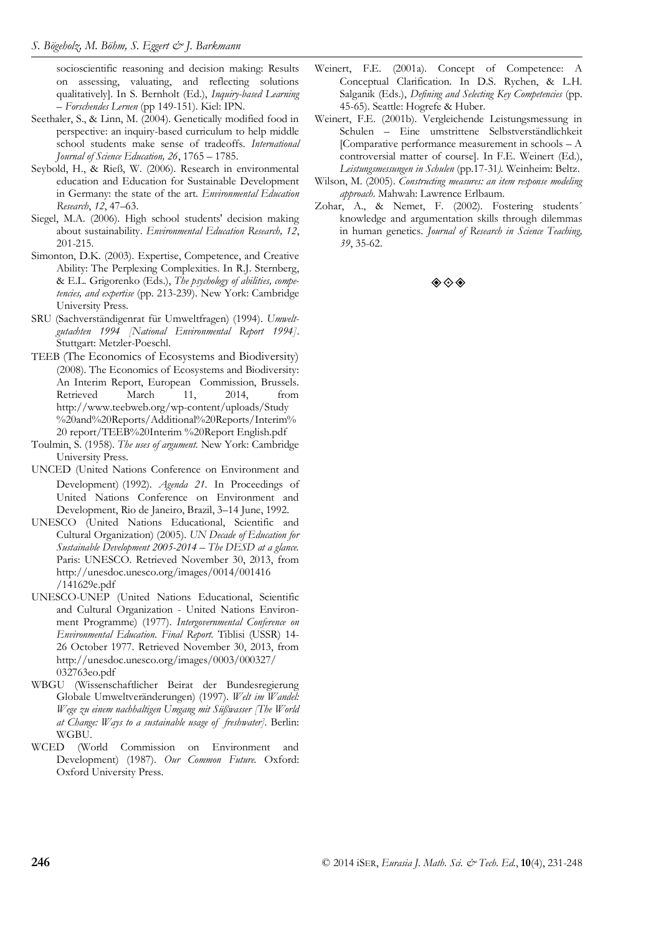socioscientific reasoning and decision making: Results on assessing, valuating, and reflecting solutions qualitatively]. In S. Bernholt (Ed.), *Inquiry-based Learning – Forschendes Lernen* (pp 149-151). Kiel: IPN.

- Seethaler, S., & Linn, M. (2004). Genetically modified food in perspective: an inquiry-based curriculum to help middle school students make sense of tradeoffs. *International Journal of Science Education, 26*, 1765 – 1785.
- Seybold, H., & Rieß, W. (2006). Research in environmental education and Education for Sustainable Development in Germany: the state of the art. *Environmental Education Research*, *12*, 47–63.
- Siegel, M.A. (2006). High school students' decision making about sustainability. *Environmental Education Research, 12*, 201-215.
- Simonton, D.K. (2003). Expertise, Competence, and Creative Ability: The Perplexing Complexities. In R.J. Sternberg, & E.L. Grigorenko (Eds.), *The psychology of abilities, competencies, and expertise* (pp. 213-239). New York: Cambridge University Press.
- SRU (Sachverständigenrat für Umweltfragen) (1994). *Umweltgutachten 1994 [National Environmental Report 1994]*. Stuttgart: Metzler-Poeschl.
- TEEB (The Economics of Ecosystems and Biodiversity) (2008). The Economics of Ecosystems and Biodiversity: An Interim Report, European Commission, Brussels. Retrieved March 11, 2014, from http://www.teebweb.org/wp-content/uploads/Study %20and%20Reports/Additional%20Reports/Interim% 20 report/TEEB%20Interim %20Report English.pdf
- Toulmin, S. (1958). *The uses of argument.* New York: Cambridge University Press.
- UNCED (United Nations Conference on Environment and Development) (1992). *Agenda 21.* In Proceedings of United Nations Conference on Environment and Development, Rio de Janeiro, Brazil, 3–14 June, 1992.
- UNESCO (United Nations Educational, Scientific and Cultural Organization) (2005). *UN Decade of Education for Sustainable Development 2005-2014 – The DESD at a glance.*  Paris: UNESCO. Retrieved November 30, 2013, from http://unesdoc.unesco.org/images/0014/001416 /141629e.pdf
- UNESCO-UNEP (United Nations Educational, Scientific and Cultural Organization - United Nations Environment Programme) (1977). *Intergovernmental Conference on Environmental Education. Final Report.* Tiblisi (USSR) 14- 26 October 1977. Retrieved November 30, 2013, from http://unesdoc.unesco.org/images/0003/000327/ 032763eo.pdf
- WBGU (Wissenschaftlicher Beirat der Bundesregierung Globale Umweltveränderungen) (1997). *Welt im Wandel: Wege zu einem nachhaltigen Umgang mit Süßwasser [The World at Change: Ways to a sustainable usage of freshwater].* Berlin: WGBU.
- WCED (World Commission on Environment and Development) (1987). *Our Common Future.* Oxford: Oxford University Press.
- Weinert, F.E. (2001a). Concept of Competence: A Conceptual Clarification. In D.S. Rychen, & L.H. Salganik (Eds.), *Defining and Selecting Key Competencies* (pp. 45-65). Seattle: Hogrefe & Huber.
- Weinert, F.E. (2001b). Vergleichende Leistungsmessung in Schulen – Eine umstrittene Selbstverständlichkeit [Comparative performance measurement in schools – A controversial matter of course]. In F.E. Weinert (Ed.), *Leistungsmessungen in Schulen* (pp.17-31*).* Weinheim: Beltz.
- Wilson, M. (2005). *Constructing measures: an item response modeling approach.* Mahwah: Lawrence Erlbaum.
- Zohar, A., & Nemet, F. (2002). Fostering students´ knowledge and argumentation skills through dilemmas in human genetics. *Journal of Research in Science Teaching, 39*, 35-62.

#### ◈◈◈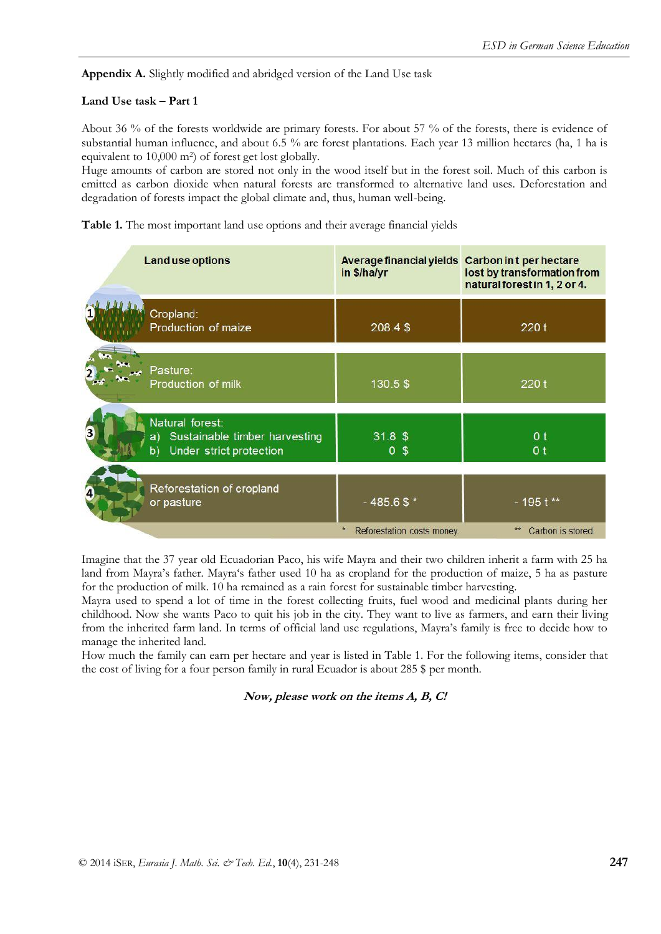**Appendix A.** Slightly modified and abridged version of the Land Use task

## **Land Use task – Part 1**

About 36 % of the forests worldwide are primary forests. For about 57 % of the forests, there is evidence of substantial human influence, and about 6.5 % are forest plantations. Each year 13 million hectares (ha, 1 ha is equivalent to 10,000 m2) of forest get lost globally.

Huge amounts of carbon are stored not only in the wood itself but in the forest soil. Much of this carbon is emitted as carbon dioxide when natural forests are transformed to alternative land uses. Deforestation and degradation of forests impact the global climate and, thus, human well-being.

**Table 1.** The most important land use options and their average financial yields

| <b>Land use options</b>                                                                 | Average financial yields Carbon in t per hectare<br>in \$/ha/yr | lost by transformation from<br>natural forest in 1, 2 or 4. |
|-----------------------------------------------------------------------------------------|-----------------------------------------------------------------|-------------------------------------------------------------|
| Cropland:<br>Production of maize                                                        | 208.4\$                                                         | 220 t                                                       |
| Pasture:<br>Production of milk                                                          | 130.5\$                                                         | 220t                                                        |
| Natural forest:<br>Sustainable timber harvesting<br>a)<br>Under strict protection<br>b) | $31.8$ \$<br>0 <sup>5</sup>                                     | 0 <sub>t</sub><br>0 <sub>t</sub>                            |
| Reforestation of cropland<br>or pasture                                                 | $-485.6$ \$ *                                                   | $-195t**$                                                   |
|                                                                                         | $\pmb{\ast}$<br>Reforestation costs money.                      | **<br>Carbon is stored                                      |

Imagine that the 37 year old Ecuadorian Paco, his wife Mayra and their two children inherit a farm with 25 ha land from Mayra's father. Mayra's father used 10 ha as cropland for the production of maize, 5 ha as pasture for the production of milk. 10 ha remained as a rain forest for sustainable timber harvesting.

Mayra used to spend a lot of time in the forest collecting fruits, fuel wood and medicinal plants during her childhood. Now she wants Paco to quit his job in the city. They want to live as farmers, and earn their living from the inherited farm land. In terms of official land use regulations, Mayra's family is free to decide how to manage the inherited land.

How much the family can earn per hectare and year is listed in Table 1. For the following items, consider that the cost of living for a four person family in rural Ecuador is about 285 \$ per month.

**Now, please work on the items A, B, C!**